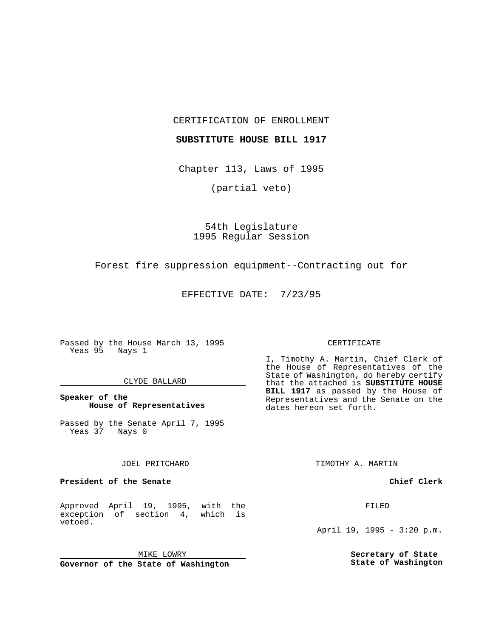CERTIFICATION OF ENROLLMENT

## **SUBSTITUTE HOUSE BILL 1917**

Chapter 113, Laws of 1995

(partial veto)

## 54th Legislature 1995 Regular Session

Forest fire suppression equipment--Contracting out for

EFFECTIVE DATE: 7/23/95

Passed by the House March 13, 1995 Yeas 95 Nays 1

## CLYDE BALLARD

## **Speaker of the House of Representatives**

Passed by the Senate April 7, 1995 Yeas 37 Nays 0

### JOEL PRITCHARD

**President of the Senate**

Approved April 19, 1995, with the exception of section 4, which is vetoed.

MIKE LOWRY

**Governor of the State of Washington**

#### CERTIFICATE

I, Timothy A. Martin, Chief Clerk of the House of Representatives of the State of Washington, do hereby certify that the attached is **SUBSTITUTE HOUSE BILL 1917** as passed by the House of Representatives and the Senate on the dates hereon set forth.

TIMOTHY A. MARTIN

## **Chief Clerk**

FILED

April 19, 1995 - 3:20 p.m.

**Secretary of State State of Washington**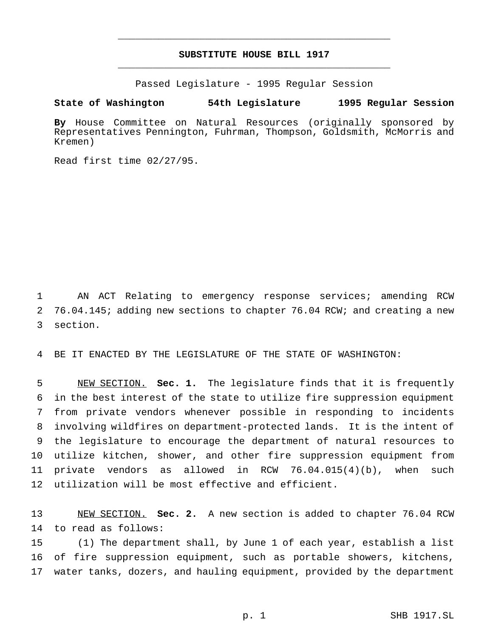# **SUBSTITUTE HOUSE BILL 1917** \_\_\_\_\_\_\_\_\_\_\_\_\_\_\_\_\_\_\_\_\_\_\_\_\_\_\_\_\_\_\_\_\_\_\_\_\_\_\_\_\_\_\_\_\_\_\_

\_\_\_\_\_\_\_\_\_\_\_\_\_\_\_\_\_\_\_\_\_\_\_\_\_\_\_\_\_\_\_\_\_\_\_\_\_\_\_\_\_\_\_\_\_\_\_

Passed Legislature - 1995 Regular Session

### **State of Washington 54th Legislature 1995 Regular Session**

**By** House Committee on Natural Resources (originally sponsored by Representatives Pennington, Fuhrman, Thompson, Goldsmith, McMorris and Kremen)

Read first time 02/27/95.

 AN ACT Relating to emergency response services; amending RCW 76.04.145; adding new sections to chapter 76.04 RCW; and creating a new section.

BE IT ENACTED BY THE LEGISLATURE OF THE STATE OF WASHINGTON:

 NEW SECTION. **Sec. 1.** The legislature finds that it is frequently in the best interest of the state to utilize fire suppression equipment from private vendors whenever possible in responding to incidents involving wildfires on department-protected lands. It is the intent of the legislature to encourage the department of natural resources to utilize kitchen, shower, and other fire suppression equipment from private vendors as allowed in RCW 76.04.015(4)(b), when such utilization will be most effective and efficient.

 NEW SECTION. **Sec. 2.** A new section is added to chapter 76.04 RCW to read as follows:

 (1) The department shall, by June 1 of each year, establish a list of fire suppression equipment, such as portable showers, kitchens, water tanks, dozers, and hauling equipment, provided by the department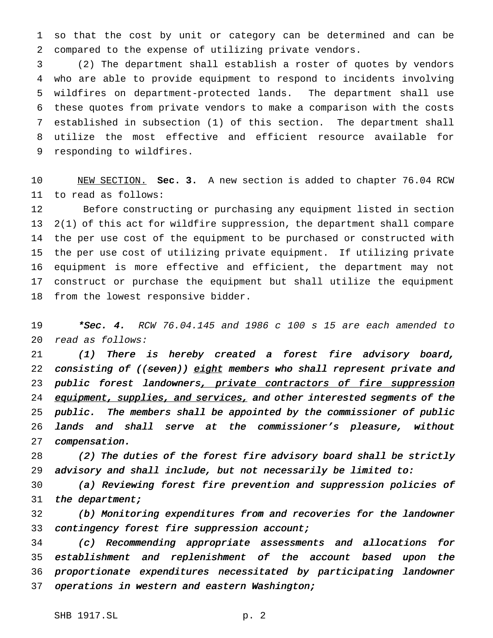so that the cost by unit or category can be determined and can be compared to the expense of utilizing private vendors.

 (2) The department shall establish a roster of quotes by vendors who are able to provide equipment to respond to incidents involving wildfires on department-protected lands. The department shall use these quotes from private vendors to make a comparison with the costs established in subsection (1) of this section. The department shall utilize the most effective and efficient resource available for responding to wildfires.

 NEW SECTION. **Sec. 3.** A new section is added to chapter 76.04 RCW to read as follows:

 Before constructing or purchasing any equipment listed in section 2(1) of this act for wildfire suppression, the department shall compare the per use cost of the equipment to be purchased or constructed with the per use cost of utilizing private equipment. If utilizing private equipment is more effective and efficient, the department may not construct or purchase the equipment but shall utilize the equipment from the lowest responsive bidder.

19 \*Sec. 4. RCW 76.04.145 and 1986 c 100 s 15 are each amended to read as follows:

 (1) There is hereby created <sup>a</sup> forest fire advisory board, 22 consisting of ((seven)) eight members who shall represent private and 23 public forest landowners, private contractors of fire suppression 24 equipment, supplies, and services, and other interested segments of the public. The members shall be appointed by the commissioner of public lands and shall serve at the commissioner's pleasure, without compensation.

 (2) The duties of the forest fire advisory board shall be strictly advisory and shall include, but not necessarily be limited to:

 (a) Reviewing forest fire prevention and suppression policies of 31 the department;

 (b) Monitoring expenditures from and recoveries for the landowner 33 contingency forest fire suppression account;

 (c) Recommending appropriate assessments and allocations for establishment and replenishment of the account based upon the proportionate expenditures necessitated by participating landowner 37 operations in western and eastern Washington;